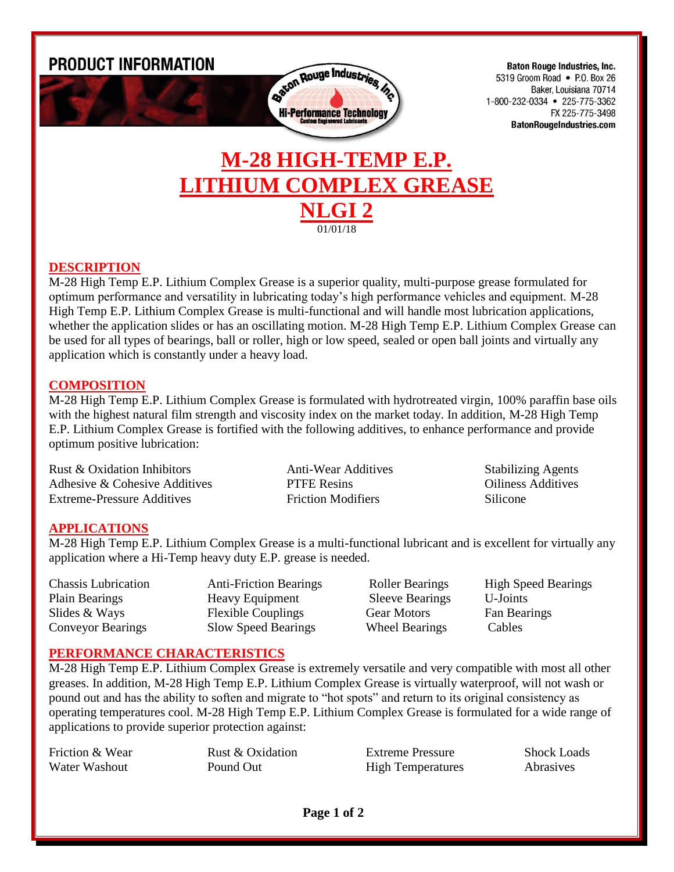

## **DESCRIPTION**

M-28 High Temp E.P. Lithium Complex Grease is a superior quality, multi-purpose grease formulated for optimum performance and versatility in lubricating today's high performance vehicles and equipment. M-28 High Temp E.P. Lithium Complex Grease is multi-functional and will handle most lubrication applications, whether the application slides or has an oscillating motion. M-28 High Temp E.P. Lithium Complex Grease can be used for all types of bearings, ball or roller, high or low speed, sealed or open ball joints and virtually any application which is constantly under a heavy load.

**NLGI 2** 01/01/18

### **COMPOSITION**

M-28 High Temp E.P. Lithium Complex Grease is formulated with hydrotreated virgin, 100% paraffin base oils with the highest natural film strength and viscosity index on the market today. In addition, M-28 High Temp E.P. Lithium Complex Grease is fortified with the following additives, to enhance performance and provide optimum positive lubrication:

Rust & Oxidation Inhibitors **Anti-Wear Additives** Stabilizing Agents Adhesive & Cohesive Additives **PTFE Resins** Oiliness Additives Extreme-Pressure Additives Friction Modifiers Silicone

## **APPLICATIONS**

M-28 High Temp E.P. Lithium Complex Grease is a multi-functional lubricant and is excellent for virtually any application where a Hi-Temp heavy duty E.P. grease is needed.

Conveyor Bearings Slow Speed Bearings Wheel Bearings Cables

Plain Bearings Heavy Equipment Sleeve Bearings U-Joints Slides & Ways Flexible Couplings Gear Motors Fan Bearings

Chassis Lubrication Anti-Friction Bearings Roller Bearings High Speed Bearings

## **PERFORMANCE CHARACTERISTICS**

M-28 High Temp E.P. Lithium Complex Grease is extremely versatile and very compatible with most all other greases. In addition, M-28 High Temp E.P. Lithium Complex Grease is virtually waterproof, will not wash or pound out and has the ability to soften and migrate to "hot spots" and return to its original consistency as operating temperatures cool. M-28 High Temp E.P. Lithium Complex Grease is formulated for a wide range of applications to provide superior protection against:

| Friction & Wear | Rust & Oxidation | Extreme Pressure         | <b>Shock Loads</b> |
|-----------------|------------------|--------------------------|--------------------|
| Water Washout   | Pound Out        | <b>High Temperatures</b> | Abrasives          |